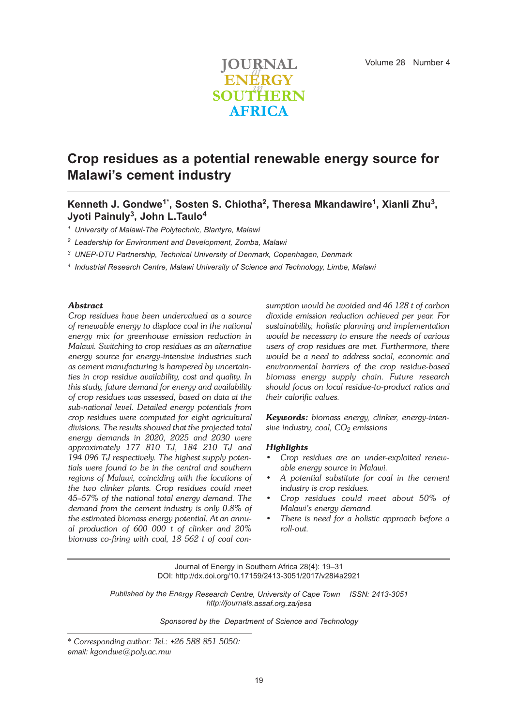

# **Crop residues as a potential renewable energy source for Malawi's cement industry**

### **Kenneth J. Gondwe1\* , Sosten S. Chiotha2, Theresa Mkandawire1, Xianli Zhu3, Jyoti Painuly3, John L.Taulo4**

*<sup>1</sup> University of Malawi-The Polytechnic, Blantyre, Malawi*

- *<sup>2</sup> Leadership for Environment and Development, Zomba, Malawi*
- *<sup>3</sup> UNEP-DTU Partnership, Technical University of Denmark, Copenhagen, Denmark*
- *<sup>4</sup> Industrial Research Centre, Malawi University of Science and Technology, Limbe, Malawi*

### *Abstract*

*Crop residues have been undervalued as a source of renewable energy to displace coal in the national energy mix for greenhouse emission reduction in Malawi. Switching to crop residues as an alternative energy source for energy-intensive industries such as cement manufacturing is hampered by uncertainties in crop residue availability, cost and quality. In this study, future demand for energy and availability of crop residues was assessed, based on data at the sub-national level. Detailed energy potentials from crop residues were computed for eight agricultural divisions. The results showed that the projected total energy demands in 2020, 2025 and 2030 were approximately 177 810 TJ, 184 210 TJ and 194 096 TJ respectively. The highest supply potentials were found to be in the central and southern regions of Malawi, coinciding with the locations of the two clinker plants. Crop residues could meet 45–57% of the national total energy demand. The demand from the cement industry is only 0.8% of the estimated biomass energy potential. At an annual production of 600 000 t of clinker and 20% biomass co-firing with coal, 18 562 t of coal con-* *sumption would be avoided and 46 128 t of carbon dioxide emission reduction achieved per year. For sustainability, holistic planning and implementation would be necessary to ensure the needs of various users of crop residues are met. Furthermore, there would be a need to address social, economic and environmental barriers of the crop residue-based biomass energy supply chain. Future research should focus on local residue-to-product ratios and their calorific values.*

*Keywords: biomass energy, clinker, energy-intensive industry, coal, CO2 emissions*

#### *Highlights*

- *• Crop residues are an under-exploited renewable energy source in Malawi.*
- *• A potential substitute for coal in the cement industry is crop residues.*
- *• Crop residues could meet about 50% of Malawi's energy demand.*
- *• There is need for a holistic approach before a roll-out.*

Journal of Energy in Southern Africa 28(4): 19–31 DOI: http://dx.doi.org/10.17159/2413-3051/2017/v28i4a2921

*Published by the Energy Research Centre, University of Cape Town ISSN: 2413-3051 http://journals.assaf.org.za/jesa*

*Sponsored by the Department of Science and Technology*

*<sup>\*</sup> Corresponding author: Tel.: +26 588 851 5050: email: kgondwe@poly.ac.mw*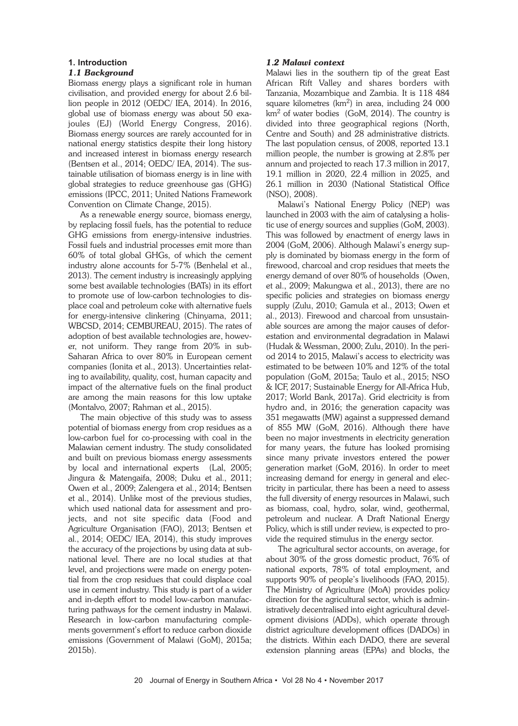### **1. Introduction**

### *1.1 Background*

Biomass energy plays a significant role in human civilisation, and provided energy for about 2.6 billion people in 2012 (OEDC/ IEA, 2014). In 2016, global use of biomass energy was about 50 exajoules (EJ) (World Energy Congress, 2016). Biomass energy sources are rarely accounted for in national energy statistics despite their long history and increased interest in biomass energy research (Bentsen et al., 2014; OEDC/ IEA, 2014). The sustainable utilisation of biomass energy is in line with global strategies to reduce greenhouse gas (GHG) emissions (IPCC, 2011; United Nations Framework Convention on Climate Change, 2015).

As a renewable energy source, biomass energy, by replacing fossil fuels, has the potential to reduce GHG emissions from energy-intensive industries. Fossil fuels and industrial processes emit more than 60% of total global GHGs, of which the cement industry alone accounts for 5-7% (Benhelal et al., 2013). The cement industry is increasingly applying some best available technologies (BATs) in its effort to promote use of low-carbon technologies to displace coal and petroleum coke with alternative fuels for energy-intensive clinkering (Chinyama, 2011; WBCSD, 2014; CEMBUREAU, 2015). The rates of adoption of best available technologies are, however, not uniform. They range from 20% in sub-Saharan Africa to over 80% in European cement companies (Ionita et al., 2013). Uncertainties relating to availability, quality, cost, human capacity and impact of the alternative fuels on the final product are among the main reasons for this low uptake (Montalvo, 2007; Rahman et al., 2015).

The main objective of this study was to assess potential of biomass energy from crop residues as a low-carbon fuel for co-processing with coal in the Malawian cement industry. The study consolidated and built on previous biomass energy assessments by local and international experts (Lal, 2005; Jingura & Matengaifa, 2008; Duku et al., 2011; Owen et al., 2009; Zalengera et al., 2014; Bentsen et al., 2014). Unlike most of the previous studies, which used national data for assessment and projects, and not site specific data (Food and Agriculture Organisation (FAO), 2013; Bentsen et al., 2014; OEDC/ IEA, 2014), this study improves the accuracy of the projections by using data at subnational level. There are no local studies at that level, and projections were made on energy potential from the crop residues that could displace coal use in cement industry. This study is part of a wider and in-depth effort to model low-carbon manufacturing pathways for the cement industry in Malawi. Research in low-carbon manufacturing complements government's effort to reduce carbon dioxide emissions (Government of Malawi (GoM), 2015a; 2015b).

### *1.2 Malawi context*

Malawi lies in the southern tip of the great East African Rift Valley and shares borders with Tanzania, Mozambique and Zambia. It is 118 484 square kilometres ( $km<sup>2</sup>$ ) in area, including 24 000  $km<sup>2</sup>$  of water bodies (GoM, 2014). The country is divided into three geographical regions (North, Centre and South) and 28 administrative districts. The last population census, of 2008, reported 13.1 million people, the number is growing at 2.8% per annum and projected to reach 17.3 million in 2017, 19.1 million in 2020, 22.4 million in 2025, and 26.1 million in 2030 (National Statistical Office (NSO), 2008).

Malawi's National Energy Policy (NEP) was launched in 2003 with the aim of catalysing a holistic use of energy sources and supplies (GoM, 2003). This was followed by enactment of energy laws in 2004 (GoM, 2006). Although Malawi's energy supply is dominated by biomass energy in the form of firewood, charcoal and crop residues that meets the energy demand of over 80% of households (Owen, et al., 2009; Makungwa et al., 2013), there are no specific policies and strategies on biomass energy supply (Zulu, 2010; Gamula et al., 2013; Owen et al., 2013). Firewood and charcoal from unsustainable sources are among the major causes of deforestation and environmental degradation in Malawi (Hudak & Wessman, 2000; Zulu, 2010). In the period 2014 to 2015, Malawi's access to electricity was estimated to be between 10% and 12% of the total population (GoM, 2015a; Taulo et al., 2015; NSO & ICF, 2017; Sustainable Energy for All-Africa Hub, 2017; World Bank, 2017a). Grid electricity is from hydro and, in 2016; the generation capacity was 351 megawatts (MW) against a suppressed demand of 855 MW (GoM, 2016). Although there have been no major investments in electricity generation for many years, the future has looked promising since many private investors entered the power generation market (GoM, 2016). In order to meet increasing demand for energy in general and electricity in particular, there has been a need to assess the full diversity of energy resources in Malawi, such as biomass, coal, hydro, solar, wind, geothermal, petroleum and nuclear. A Draft National Energy Policy, which is still under review, is expected to provide the required stimulus in the energy sector.

The agricultural sector accounts, on average, for about 30% of the gross domestic product, 76% of national exports, 78% of total employment, and supports 90% of people's livelihoods (FAO, 2015). The Ministry of Agriculture (MoA) provides policy direction for the agricultural sector, which is administratively decentralised into eight agricultural development divisions (ADDs), which operate through district agriculture development offices (DADOs) in the districts. Within each DADO, there are several extension planning areas (EPAs) and blocks, the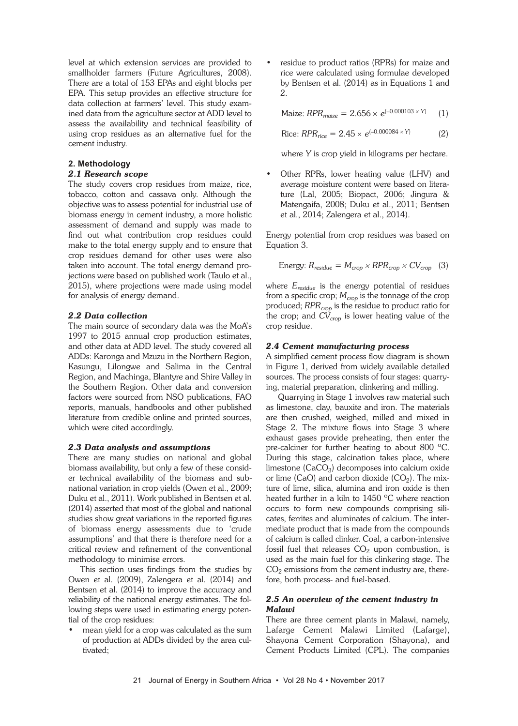level at which extension services are provided to smallholder farmers (Future Agricultures, 2008). There are a total of 153 EPAs and eight blocks per EPA. This setup provides an effective structure for data collection at farmers' level. This study examined data from the agriculture sector at ADD level to assess the availability and technical feasibility of using crop residues as an alternative fuel for the cement industry.

### **2. Methodology**

### *2.1 Research scope*

The study covers crop residues from maize, rice, tobacco, cotton and cassava only. Although the objective was to assess potential for industrial use of biomass energy in cement industry, a more holistic assessment of demand and supply was made to find out what contribution crop residues could make to the total energy supply and to ensure that crop residues demand for other uses were also taken into account. The total energy demand projections were based on published work (Taulo et al., 2015), where projections were made using model for analysis of energy demand.

### *2.2 Data collection*

The main source of secondary data was the MoA's 1997 to 2015 annual crop production estimates, and other data at ADD level. The study covered all ADDs: Karonga and Mzuzu in the Northern Region, Kasungu, Lilongwe and Salima in the Central Region, and Machinga, Blantyre and Shire Valley in the Southern Region. Other data and conversion factors were sourced from NSO publications, FAO reports, manuals, handbooks and other published literature from credible online and printed sources, which were cited accordingly.

### *2.3 Data analysis and assumptions*

There are many studies on national and global biomass availability, but only a few of these consider technical availability of the biomass and subnational variation in crop yields (Owen et al., 2009; Duku et al., 2011). Work published in Bentsen et al. (2014) asserted that most of the global and national studies show great variations in the reported figures of biomass energy assessments due to 'crude assumptions' and that there is therefore need for a critical review and refinement of the conventional methodology to minimise errors.

This section uses findings from the studies by Owen et al. (2009), Zalengera et al. (2014) and Bentsen et al. (2014) to improve the accuracy and reliability of the national energy estimates. The following steps were used in estimating energy potential of the crop residues:

• mean yield for a crop was calculated as the sum of production at ADDs divided by the area cultivated;

• residue to product ratios (RPRs) for maize and rice were calculated using formulae developed by Bentsen et al. (2014) as in Equations 1 and 2.

 $\text{Maize: } RPR_{\text{maize}} = 2.656 \times e^{(-0.000103 \times Y)}$  (1)

Rice:  $RPR_{rice} = 2.45 \times e^{(-0.000084 \times Y)}$  (2)

where *Y* is crop yield in kilograms per hectare.

• Other RPRs, lower heating value (LHV) and average moisture content were based on literature (Lal, 2005; Biopact, 2006; Jingura & Matengaifa, 2008; Duku et al., 2011; Bentsen et al., 2014; Zalengera et al., 2014).

Energy potential from crop residues was based on Equation 3.

Energy: 
$$
R_{residue} = M_{crop} \times RPR_{crop} \times CV_{crop}
$$
 (3)

where *Eresidue* is the energy potential of residues from a specific crop;  $M_{crop}$  is the tonnage of the crop produced; *RPR<sub>crop</sub>* is the residue to product ratio for the crop; and  $CV<sub>cro</sub>$  is lower heating value of the crop residue.

### *2.4 Cement manufacturing process*

A simplified cement process flow diagram is shown in Figure 1, derived from widely available detailed sources. The process consists of four stages: quarrying, material preparation, clinkering and milling.

Quarrying in Stage 1 involves raw material such as limestone, clay, bauxite and iron. The materials are then crushed, weighed, milled and mixed in Stage 2. The mixture flows into Stage 3 where exhaust gases provide preheating, then enter the pre-calciner for further heating to about 800 ºC. During this stage, calcination takes place, where limestone  $(CaCO<sub>3</sub>)$  decomposes into calcium oxide or lime (CaO) and carbon dioxide  $(CO<sub>2</sub>)$ . The mixture of lime, silica, alumina and iron oxide is then heated further in a kiln to 1450 ºC where reaction occurs to form new compounds comprising silicates, ferrites and aluminates of calcium. The intermediate product that is made from the compounds of calcium is called clinker. Coal, a carbon-intensive fossil fuel that releases  $CO<sub>2</sub>$  upon combustion, is used as the main fuel for this clinkering stage. The  $CO<sub>2</sub>$  emissions from the cement industry are, therefore, both process- and fuel-based.

### *2.5 An overview of the cement industry in Malawi*

There are three cement plants in Malawi, namely, Lafarge Cement Malawi Limited (Lafarge), Shayona Cement Corporation (Shayona), and Cement Products Limited (CPL). The companies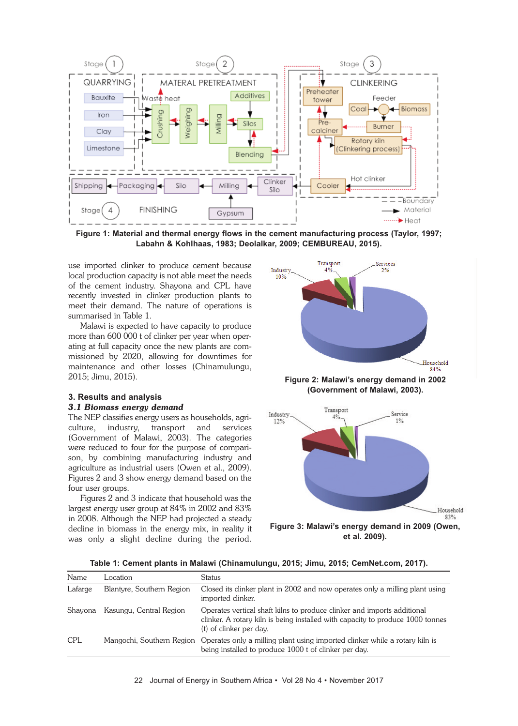

**Figure 1: Material and thermal energy flows in the cement manufacturing process (Taylor, 1997; Labahn & Kohlhaas, 1983; Deolalkar, 2009; CEMBUREAU, 2015).**

use imported clinker to produce cement because local production capacity is not able meet the needs of the cement industry. Shayona and CPL have recently invested in clinker production plants to meet their demand. The nature of operations is summarised in Table 1.

Malawi is expected to have capacity to produce more than 600 000 t of clinker per year when operating at full capacity once the new plants are commissioned by 2020, allowing for downtimes for maintenance and other losses (Chinamulungu, 2015; Jimu, 2015).

## **3. Results and analysis**

### *3.1 Biomass energy demand*

The NEP classifies energy users as households, agriculture, industry, transport and services (Government of Malawi, 2003). The categories were reduced to four for the purpose of comparison, by combining manufacturing industry and agriculture as industrial users (Owen et al., 2009). Figures 2 and 3 show energy demand based on the four user groups.

Figures 2 and 3 indicate that household was the largest energy user group at 84% in 2002 and 83% in 2008. Although the NEP had projected a steady decline in biomass in the energy mix, in reality it was only a slight decline during the period.



**Figure 2: Malawi's energy demand in 2002 (Government of Malawi, 2003).**



**Table 1: Cement plants in Malawi (Chinamulungu, 2015; Jimu, 2015; CemNet.com, 2017).**

| Name       | Location                  | <b>Status</b>                                                                                                                                                                        |
|------------|---------------------------|--------------------------------------------------------------------------------------------------------------------------------------------------------------------------------------|
| Lafarge    | Blantyre, Southern Region | Closed its clinker plant in 2002 and now operates only a milling plant using<br>imported clinker.                                                                                    |
| Shayona    | Kasungu, Central Region   | Operates vertical shaft kilns to produce clinker and imports additional<br>clinker. A rotary kiln is being installed with capacity to produce 1000 tonnes<br>(t) of clinker per day. |
| <b>CPL</b> |                           | Mangochi, Southern Region Operates only a milling plant using imported clinker while a rotary kiln is<br>being installed to produce 1000 t of clinker per day.                       |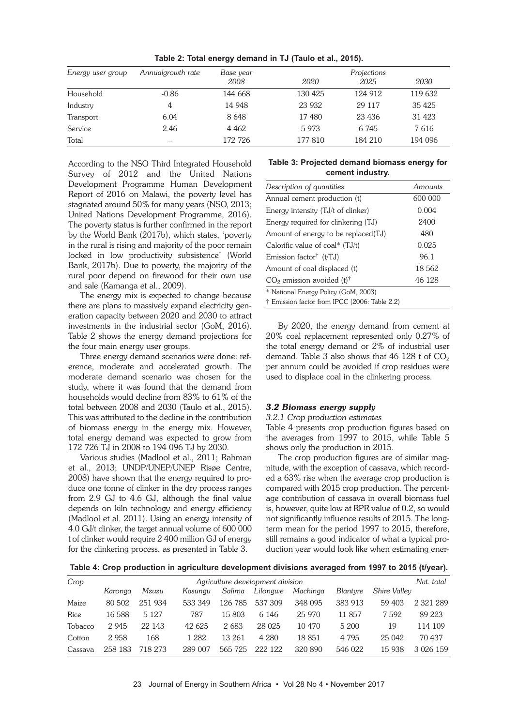| Energy user group | Annualgrowth rate | Base year | Projections |         |         |  |
|-------------------|-------------------|-----------|-------------|---------|---------|--|
|                   |                   | 2008      | 2020        | 2025    | 2030    |  |
| Household         | $-0.86$           | 144 668   | 130 425     | 124 912 | 119 632 |  |
| Industry          | 4                 | 14 948    | 23 932      | 29 117  | 35 4 25 |  |
| Transport         | 6.04              | 8648      | 17480       | 23 4 36 | 31 4 23 |  |
| Service           | 2.46              | 4 4 6 2   | 5973        | 6 7 4 5 | 7616    |  |
| Total             |                   | 172 726   | 177810      | 184 210 | 194 096 |  |

**Table 2: Total energy demand in TJ (Taulo et al., 2015).**

According to the NSO Third Integrated Household Survey of 2012 and the United Nations Development Programme Human Development Report of 2016 on Malawi, the poverty level has stagnated around 50% for many years (NSO, 2013; United Nations Development Programme, 2016). The poverty status is further confirmed in the report by the World Bank (2017b), which states, 'poverty in the rural is rising and majority of the poor remain locked in low productivity subsistence' (World Bank, 2017b). Due to poverty, the majority of the rural poor depend on firewood for their own use and sale (Kamanga et al., 2009).

The energy mix is expected to change because there are plans to massively expand electricity generation capacity between 2020 and 2030 to attract investments in the industrial sector (GoM, 2016). Table 2 shows the energy demand projections for the four main energy user groups.

Three energy demand scenarios were done: reference, moderate and accelerated growth. The moderate demand scenario was chosen for the study, where it was found that the demand from households would decline from 83% to 61% of the total between 2008 and 2030 (Taulo et al., 2015). This was attributed to the decline in the contribution of biomass energy in the energy mix. However, total energy demand was expected to grow from 172 726 TJ in 2008 to 194 096 TJ by 2030.

Various studies (Madlool et al., 2011; Rahman et al., 2013; UNDP/UNEP/UNEP Risøe Centre, 2008) have shown that the energy required to produce one tonne of clinker in the dry process ranges from 2.9 GJ to 4.6 GJ, although the final value depends on kiln technology and energy efficiency (Madlool et al. 2011). Using an energy intensity of 4.0 GJ/t clinker, the target annual volume of 600 000 t of clinker would require 2 400 million GJ of energy for the clinkering process, as presented in Table 3.

### **Table 3: Projected demand biomass energy for cement industry.**

| Description of quantities                     | Amounts |
|-----------------------------------------------|---------|
| Annual cement production (t)                  | 600 000 |
| Energy intensity (TJ/t of clinker)            | 0.004   |
| Energy required for clinkering (TJ)           | 2400    |
| Amount of energy to be replaced(TJ)           | 480     |
| Calorific value of coal* $(TJ/t)$             | 0.025   |
| Emission factor <sup>†</sup> $(t/TJ)$         | 96.1    |
| Amount of coal displaced (t)                  | 18 5 62 |
| $CO2$ emission avoided (t) <sup>†</sup>       | 46 128  |
| * National Energy Policy (GoM, 2003)          |         |
| † Emission factor from IPCC (2006: Table 2.2) |         |

By 2020, the energy demand from cement at 20% coal replacement represented only 0.27% of the total energy demand or 2% of industrial user demand. Table 3 also shows that  $46$  128 t of  $CO<sub>2</sub>$ per annum could be avoided if crop residues were used to displace coal in the clinkering process.

### *3.2 Biomass energy supply*

#### *3.2.1 Crop production estimates*

Table 4 presents crop production figures based on the averages from 1997 to 2015, while Table 5 shows only the production in 2015.

The crop production figures are of similar magnitude, with the exception of cassava, which recorded a 63% rise when the average crop production is compared with 2015 crop production. The percentage contribution of cassava in overall biomass fuel is, however, quite low at RPR value of 0.2, so would not significantly influence results of 2015. The longterm mean for the period 1997 to 2015, therefore, still remains a good indicator of what a typical production year would look like when estimating ener-

**Table 4: Crop production in agriculture development divisions averaged from 1997 to 2015 (t/year).**

| Crop    |         |         |         |         | Agriculture development division |          |                 |              | Nat. total |
|---------|---------|---------|---------|---------|----------------------------------|----------|-----------------|--------------|------------|
|         | Karonga | Mzuzu   | Kasungu | Salima  | Lilongwe                         | Machinga | <b>Blanture</b> | Shire Valley |            |
| Maize   | 80 502  | 251 934 | 533 349 | 126 785 | 537 309                          | 348 095  | 383 913         | 59 403       | 2 321 289  |
| Rice    | 16 588  | 5 1 2 7 | 787     | 15 803  | 6 146                            | 25 9 70  | 11 857          | 7592         | 89 223     |
| Tobacco | 2 9 4 5 | 22 143  | 42 625  | 2683    | 28 0 25                          | 10 470   | 5 200           | 19           | 114 109    |
| Cotton  | 2958    | 168     | 1 2 8 2 | 13 261  | 4 2 8 0                          | 18 851   | 4 7 9 5         | 25 042       | 70 437     |
| Cassava | 258 183 | 718 273 | 289 007 | 565 725 | 222 122                          | 320 890  | 546 022         | 15 938       | 3 026 159  |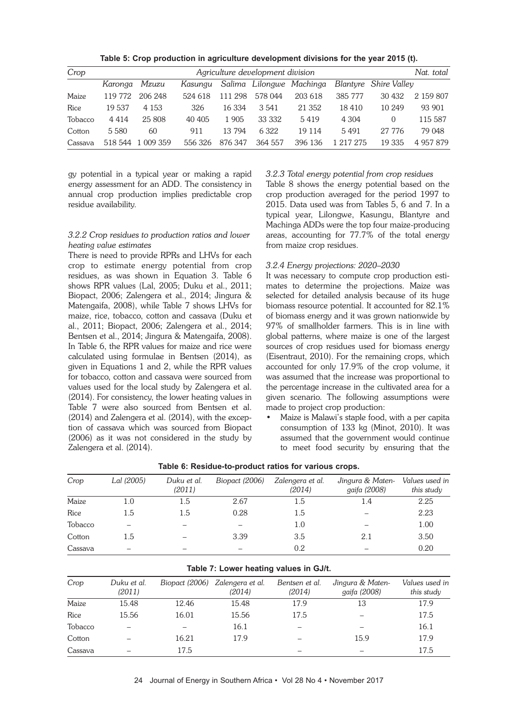**Table 5: Crop production in agriculture development divisions for the year 2015 (t).**

| Crop    | Agriculture development division |         |         |         |         |                          |           |                       | Nat. total |
|---------|----------------------------------|---------|---------|---------|---------|--------------------------|-----------|-----------------------|------------|
|         | Karonga                          | Mzuzu   | Kasungu |         |         | Salima Lilongwe Machinga |           | Blantyre Shire Valley |            |
| Maize   | 119 772                          | 206 248 | 524 618 | 111 298 | 578 044 | 203 618                  | 385 777   | 30 432                | 2 159 807  |
| Rice    | 19 537                           | 4 1 5 3 | 326     | 16.334  | 3.541   | 21 3 5 2                 | 18410     | 10 249                | 93 901     |
| Tobacco | 4 4 1 4                          | 25 808  | 40 40 5 | 1 905   | 33 332  | 5419                     | 4 3 0 4   | 0                     | 115 587    |
| Cotton  | 5 5 8 0                          | 60      | 911     | 13 794  | 6 3 2 2 | 19 114                   | 5491      | 27 776                | 79 048     |
| Cassava | 518 544                          | 009 359 | 556326  | 876347  | 364 557 | 396 136                  | 1 217 275 | 19 335                | 4 957 879  |

gy potential in a typical year or making a rapid energy assessment for an ADD. The consistency in annual crop production implies predictable crop residue availability.

#### *3.2.2 Crop residues to production ratios and lower heating value estimates*

There is need to provide RPRs and LHVs for each crop to estimate energy potential from crop residues, as was shown in Equation 3. Table 6 shows RPR values (Lal, 2005; Duku et al., 2011; Biopact, 2006; Zalengera et al., 2014; Jingura & Matengaifa, 2008), while Table 7 shows LHVs for maize, rice, tobacco, cotton and cassava (Duku et al., 2011; Biopact, 2006; Zalengera et al., 2014; Bentsen et al., 2014; Jingura & Matengaifa, 2008). In Table 6, the RPR values for maize and rice were calculated using formulae in Bentsen (2014), as given in Equations 1 and 2, while the RPR values for tobacco, cotton and cassava were sourced from values used for the local study by Zalengera et al. (2014). For consistency, the lower heating values in Table 7 were also sourced from Bentsen et al. (2014) and Zalengera et al. (2014), with the exception of cassava which was sourced from Biopact (2006) as it was not considered in the study by Zalengera et al. (2014).

*3.2.3 Total energy potential from crop residues*

Table 8 shows the energy potential based on the crop production averaged for the period 1997 to 2015. Data used was from Tables 5, 6 and 7. In a typical year, Lilongwe, Kasungu, Blantyre and Machinga ADDs were the top four maize-producing areas, accounting for 77.7% of the total energy from maize crop residues.

### *3.2.4 Energy projections: 2020–2030*

It was necessary to compute crop production estimates to determine the projections. Maize was selected for detailed analysis because of its huge biomass resource potential. It accounted for 82.1% of biomass energy and it was grown nationwide by 97% of smallholder farmers. This is in line with global patterns, where maize is one of the largest sources of crop residues used for biomass energy (Eisentraut, 2010). For the remaining crops, which accounted for only 17.9% of the crop volume, it was assumed that the increase was proportional to the percentage increase in the cultivated area for a given scenario. The following assumptions were made to project crop production:

• Maize is Malawi's staple food, with a per capita consumption of 133 kg (Minot, 2010). It was assumed that the government would continue to meet food security by ensuring that the

| Crop    | Lal (2005) | Duku et al.<br>(2011) | Biopact (2006) | Zalengera et al.<br>(2014) | Jingura & Maten-<br>gaifa (2008) | Values used in<br>this study |
|---------|------------|-----------------------|----------------|----------------------------|----------------------------------|------------------------------|
| Maize   | 1.0        | 1.5                   | 2.67           | 1.5                        | 1.4                              | 2.25                         |
| Rice    | 1.5        | 1.5                   | 0.28           | 1.5                        |                                  | 2.23                         |
| Tobacco |            |                       |                | 1.0                        |                                  | 1.00                         |
| Cotton  | 1.5        |                       | 3.39           | 3.5                        | 2.1                              | 3.50                         |
| Cassava |            |                       |                | $0.2\,$                    |                                  | 0.20                         |

**Table 6: Residue-to-product ratios for various crops.**

|         | Table 7: Lower heating values in GJ/t. |       |                                           |                          |                                  |                              |  |  |  |  |
|---------|----------------------------------------|-------|-------------------------------------------|--------------------------|----------------------------------|------------------------------|--|--|--|--|
| Crop    | Duku et al.<br>(2011)                  |       | Biopact (2006) Zalengera et al.<br>(2014) | Bentsen et al.<br>(2014) | Jingura & Maten-<br>gaifa (2008) | Values used in<br>this study |  |  |  |  |
| Maize   | 15.48                                  | 12.46 | 15.48                                     | 17.9                     | 13                               | 17.9                         |  |  |  |  |
| Rice    | 15.56                                  | 16.01 | 15.56                                     | 17.5                     |                                  | 17.5                         |  |  |  |  |
| Tobacco |                                        |       | 16.1                                      |                          |                                  | 16.1                         |  |  |  |  |
| Cotton  |                                        | 16.21 | 17.9                                      |                          | 15.9                             | 17.9                         |  |  |  |  |
| Cassava |                                        | 17.5  |                                           |                          |                                  | 17.5                         |  |  |  |  |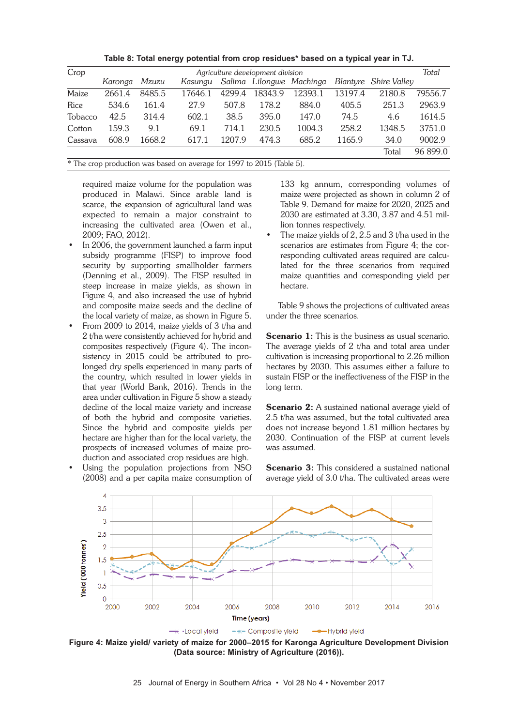| Table 8: Total energy potential from crop residues* based on a typical year in TJ. |  |  |  |
|------------------------------------------------------------------------------------|--|--|--|
|------------------------------------------------------------------------------------|--|--|--|

| Agriculture development division |        |         |        |         |         |                          |        | Total                 |
|----------------------------------|--------|---------|--------|---------|---------|--------------------------|--------|-----------------------|
| Karonga                          | Mzuzu  | Kasungu |        |         |         |                          |        |                       |
| 2661.4                           | 8485.5 | 17646.1 | 4299.4 | 18343.9 | 12393.1 | 13197.4                  | 2180.8 | 79556.7               |
| 534.6                            | 161.4  | 27.9    | 507.8  | 178.2   | 884.0   | 405.5                    | 251.3  | 2963.9                |
| 42.5                             | 314.4  | 602.1   | 38.5   | 395.0   | 147.0   | 74.5                     | 4.6    | 1614.5                |
| 159.3                            | 9.1    | 69.1    | 714.1  | 230.5   | 1004.3  | 258.2                    | 1348.5 | 3751.0                |
| 608.9<br>Cassava                 | 1668.2 | 617.1   | 1207.9 | 474.3   | 685.2   | 1165.9                   | 34.0   | 9002.9                |
|                                  |        |         |        |         |         |                          | Total  | 96 899.0              |
|                                  |        |         |        |         |         | Salima Lilongwe Machinga |        | Blantyre Shire Valley |

\* The crop production was based on average for 1997 to 2015 (Table 5).

required maize volume for the population was produced in Malawi. Since arable land is scarce, the expansion of agricultural land was expected to remain a major constraint to increasing the cultivated area (Owen et al., 2009; FAO, 2012).

- In 2006, the government launched a farm input subsidy programme (FISP) to improve food security by supporting smallholder farmers (Denning et al., 2009). The FISP resulted in steep increase in maize yields, as shown in Figure 4, and also increased the use of hybrid and composite maize seeds and the decline of the local variety of maize, as shown in Figure 5.
- From 2009 to 2014, maize yields of 3 t/ha and 2 t/ha were consistently achieved for hybrid and composites respectively (Figure 4). The inconsistency in 2015 could be attributed to prolonged dry spells experienced in many parts of the country, which resulted in lower yields in that year (World Bank, 2016). Trends in the area under cultivation in Figure 5 show a steady decline of the local maize variety and increase of both the hybrid and composite varieties. Since the hybrid and composite yields per hectare are higher than for the local variety, the prospects of increased volumes of maize production and associated crop residues are high.
- Using the population projections from NSO (2008) and a per capita maize consumption of

133 kg annum, corresponding volumes of maize were projected as shown in column 2 of Table 9. Demand for maize for 2020, 2025 and 2030 are estimated at 3.30, 3.87 and 4.51 million tonnes respectively.

The maize yields of  $2$ ,  $2.5$  and  $3$  t/ha used in the scenarios are estimates from Figure 4; the corresponding cultivated areas required are calculated for the three scenarios from required maize quantities and corresponding yield per hectare.

Table 9 shows the projections of cultivated areas under the three scenarios.

Scenario 1: This is the business as usual scenario. The average yields of 2 t/ha and total area under cultivation is increasing proportional to 2.26 million hectares by 2030. This assumes either a failure to sustain FISP or the ineffectiveness of the FISP in the long term.

Scenario 2: A sustained national average yield of 2.5 t/ha was assumed, but the total cultivated area does not increase beyond 1.81 million hectares by 2030. Continuation of the FISP at current levels was assumed.

**Scenario 3:** This considered a sustained national average yield of 3.0 t/ha. The cultivated areas were



**Figure 4: Maize yield/ variety of maize for 2000–2015 for Karonga Agriculture Development Division (Data source: Ministry of Agriculture (2016)).**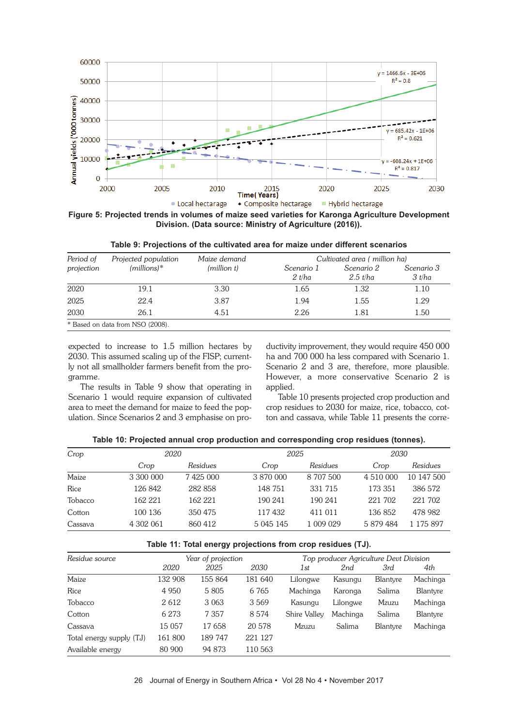

**Figure 5: Projected trends in volumes of maize seed varieties for Karonga Agriculture Development Division. (Data source: Ministry of Agriculture (2016)).**

| Period of  | Projected population             | Maize demand | Cultivated area (million ha) |                          |                      |  |  |
|------------|----------------------------------|--------------|------------------------------|--------------------------|----------------------|--|--|
| projection | $(millions)*$                    | (million t)  | Scenario 1<br>2 t/ha         | Scenario 2<br>$2.5$ t/ha | Scenario 3<br>3 t/ha |  |  |
| 2020       | 19.1                             | 3.30         | 1.65                         | 1.32                     | 1.10                 |  |  |
| 2025       | 22.4                             | 3.87         | 1.94                         | 1.55                     | 1.29                 |  |  |
| 2030       | 26.1                             | 4.51         | 2.26                         | 1.81                     | 1.50                 |  |  |
|            | * Based on data from NSO (2008). |              |                              |                          |                      |  |  |

**Table 9: Projections of the cultivated area for maize under different scenarios**

expected to increase to 1.5 million hectares by 2030. This assumed scaling up of the FISP; currently not all smallholder farmers benefit from the programme.

The results in Table 9 show that operating in Scenario 1 would require expansion of cultivated area to meet the demand for maize to feed the population. Since Scenarios 2 and 3 emphasise on productivity improvement, they would require 450 000 ha and 700 000 ha less compared with Scenario 1. Scenario 2 and 3 are, therefore, more plausible. However, a more conservative Scenario 2 is applied.

Table 10 presents projected crop production and crop residues to 2030 for maize, rice, tobacco, cotton and cassava, while Table 11 presents the corre-

| Table 10: Projected annual crop production and corresponding crop residues (tonnes). |  |  |  |
|--------------------------------------------------------------------------------------|--|--|--|
|--------------------------------------------------------------------------------------|--|--|--|

| Crop    |           | 2020     |           | 2025      |           | 2030       |  |
|---------|-----------|----------|-----------|-----------|-----------|------------|--|
|         | Crop      | Residues | Crop      | Residues  | Crop      | Residues   |  |
| Maize   | 3 300 000 | 7425 000 | 3 870 000 | 8 707 500 | 4 510 000 | 10 147 500 |  |
| Rice    | 126 842   | 282 858  | 148 751   | 331 715   | 173 351   | 386 572    |  |
| Tobacco | 162 221   | 162 221  | 190 241   | 190 241   | 221 702   | 221 702    |  |
| Cotton  | 100 136   | 350 475  | 117432    | 411 011   | 136852    | 478 982    |  |
| Cassava | 4 302 061 | 860 412  | 5 045 145 | 1 009 029 | 5 879 484 | 1 175 897  |  |

#### **Table 11: Total energy projections from crop residues (TJ).**

| Residue source           | Year of projection |         |         | Top producer Agriculture Devt Division |          |                 |          |
|--------------------------|--------------------|---------|---------|----------------------------------------|----------|-----------------|----------|
|                          | 2020               | 2025    | 2030    | 1st                                    | 2nd      | 3rd             | 4th      |
| Maize                    | 132 908            | 155 864 | 181 640 | Lilongwe                               | Kasungu  | <b>Blantyre</b> | Machinga |
| Rice                     | 4 9 5 0            | 5 8 0 5 | 6 7 6 5 | Machinga                               | Karonga  | Salima          | Blantyre |
| Tobacco                  | 2612               | 3 0 6 3 | 3569    | Kasungu                                | Lilongwe | Mzuzu           | Machinga |
| Cotton                   | 6 2 7 3            | 7 3 5 7 | 8574    | Shire Valley                           | Machinga | Salima          | Blantyre |
| Cassava                  | 15 057             | 17 658  | 20 578  | Mzuzu                                  | Salima   | <b>Blantyre</b> | Machinga |
| Total energy supply (TJ) | 161 800            | 189 747 | 221 127 |                                        |          |                 |          |
| Available energy         | 80 900             | 94 873  | 110 563 |                                        |          |                 |          |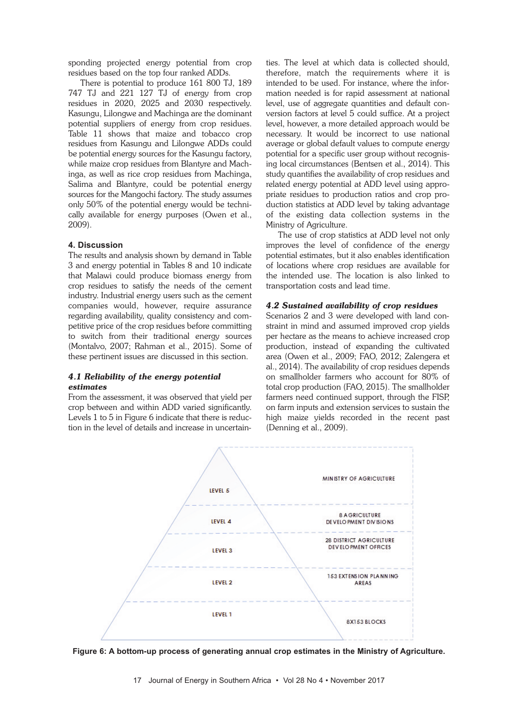sponding projected energy potential from crop residues based on the top four ranked ADDs.

There is potential to produce 161 800 TJ, 189 747 TJ and 221 127 TJ of energy from crop residues in 2020, 2025 and 2030 respectively. Kasungu, Lilongwe and Machinga are the dominant potential suppliers of energy from crop residues. Table 11 shows that maize and tobacco crop residues from Kasungu and Lilongwe ADDs could be potential energy sources for the Kasungu factory, while maize crop residues from Blantyre and Machinga, as well as rice crop residues from Machinga, Salima and Blantyre, could be potential energy sources for the Mangochi factory. The study assumes only 50% of the potential energy would be technically available for energy purposes (Owen et al., 2009).

#### **4. Discussion**

The results and analysis shown by demand in Table 3 and energy potential in Tables 8 and 10 indicate that Malawi could produce biomass energy from crop residues to satisfy the needs of the cement industry. Industrial energy users such as the cement companies would, however, require assurance regarding availability, quality consistency and competitive price of the crop residues before committing to switch from their traditional energy sources (Montalvo, 2007; Rahman et al., 2015). Some of these pertinent issues are discussed in this section.

### *4.1 Reliability of the energy potential estimates*

From the assessment, it was observed that yield per crop between and within ADD varied significantly. Levels 1 to 5 in Figure 6 indicate that there is reduction in the level of details and increase in uncertainties. The level at which data is collected should, therefore, match the requirements where it is intended to be used. For instance, where the information needed is for rapid assessment at national level, use of aggregate quantities and default conversion factors at level 5 could suffice. At a project level, however, a more detailed approach would be necessary. It would be incorrect to use national average or global default values to compute energy potential for a specific user group without recognising local circumstances (Bentsen et al., 2014). This study quantifies the availability of crop residues and related energy potential at ADD level using appropriate residues to production ratios and crop production statistics at ADD level by taking advantage of the existing data collection systems in the Ministry of Agriculture.

The use of crop statistics at ADD level not only improves the level of confidence of the energy potential estimates, but it also enables identification of locations where crop residues are available for the intended use. The location is also linked to transportation costs and lead time.

### *4.2 Sustained availability of crop residues*

Scenarios 2 and 3 were developed with land constraint in mind and assumed improved crop yields per hectare as the means to achieve increased crop production, instead of expanding the cultivated area (Owen et al., 2009; FAO, 2012; Zalengera et al., 2014). The availability of crop residues depends on smallholder farmers who account for 80% of total crop production (FAO, 2015). The smallholder farmers need continued support, through the FISP, on farm inputs and extension services to sustain the high maize yields recorded in the recent past (Denning et al., 2009).

![](_page_8_Figure_10.jpeg)

**Figure 6: A bottom-up process of generating annual crop estimates in the Ministry of Agriculture.**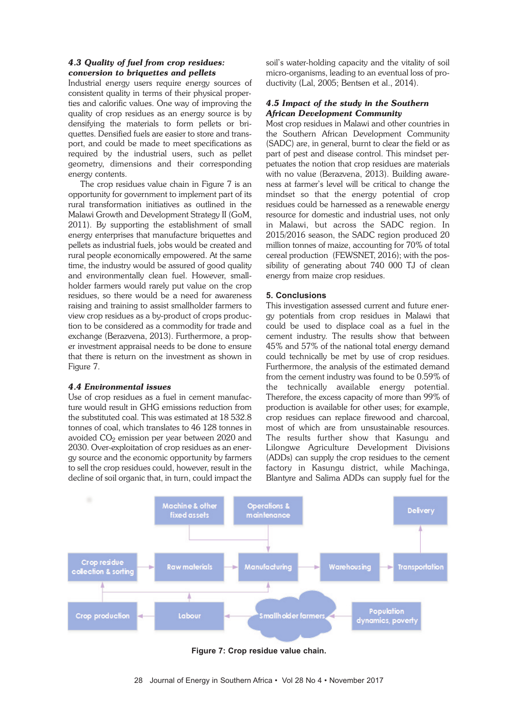### *4.3 Quality of fuel from crop residues: conversion to briquettes and pellets*

Industrial energy users require energy sources of consistent quality in terms of their physical properties and calorific values. One way of improving the quality of crop residues as an energy source is by densifying the materials to form pellets or briquettes. Densified fuels are easier to store and transport, and could be made to meet specifications as required by the industrial users, such as pellet geometry, dimensions and their corresponding energy contents.

The crop residues value chain in Figure 7 is an opportunity for government to implement part of its rural transformation initiatives as outlined in the Malawi Growth and Development Strategy II (GoM, 2011). By supporting the establishment of small energy enterprises that manufacture briquettes and pellets as industrial fuels, jobs would be created and rural people economically empowered. At the same time, the industry would be assured of good quality and environmentally clean fuel. However, smallholder farmers would rarely put value on the crop residues, so there would be a need for awareness raising and training to assist smallholder farmers to view crop residues as a by-product of crops production to be considered as a commodity for trade and exchange (Berazvena, 2013). Furthermore, a proper investment appraisal needs to be done to ensure that there is return on the investment as shown in Figure 7.

### *4.4 Environmental issues*

Use of crop residues as a fuel in cement manufacture would result in GHG emissions reduction from the substituted coal. This was estimated at 18 532.8 tonnes of coal, which translates to 46 128 tonnes in avoided  $CO<sub>2</sub>$  emission per year between 2020 and 2030. Over-exploitation of crop residues as an energy source and the economic opportunity by farmers to sell the crop residues could, however, result in the decline of soil organic that, in turn, could impact the

soil's water-holding capacity and the vitality of soil micro-organisms, leading to an eventual loss of productivity (Lal, 2005; Bentsen et al., 2014).

### *4.5 Impact of the study in the Southern African Development Community*

Most crop residues in Malawi and other countries in the Southern African Development Community (SADC) are, in general, burnt to clear the field or as part of pest and disease control. This mindset perpetuates the notion that crop residues are materials with no value (Berazvena, 2013). Building awareness at farmer's level will be critical to change the mindset so that the energy potential of crop residues could be harnessed as a renewable energy resource for domestic and industrial uses, not only in Malawi, but across the SADC region. In 2015/2016 season, the SADC region produced 20 million tonnes of maize, accounting for 70% of total cereal production (FEWSNET, 2016); with the possibility of generating about 740 000 TJ of clean energy from maize crop residues.

### **5. Conclusions**

This investigation assessed current and future energy potentials from crop residues in Malawi that could be used to displace coal as a fuel in the cement industry. The results show that between 45% and 57% of the national total energy demand could technically be met by use of crop residues. Furthermore, the analysis of the estimated demand from the cement industry was found to be 0.59% of the technically available energy potential. Therefore, the excess capacity of more than 99% of production is available for other uses; for example, crop residues can replace firewood and charcoal, most of which are from unsustainable resources. The results further show that Kasungu and Lilongwe Agriculture Development Divisions (ADDs) can supply the crop residues to the cement factory in Kasungu district, while Machinga, Blantyre and Salima ADDs can supply fuel for the

![](_page_9_Figure_10.jpeg)

**Figure 7: Crop residue value chain.**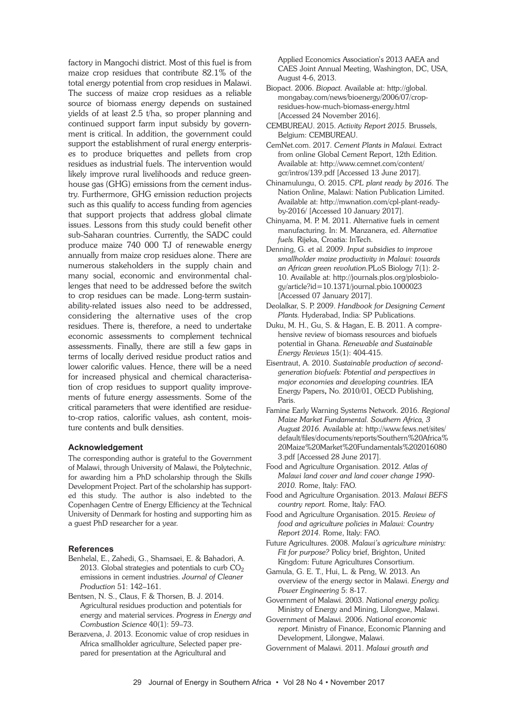factory in Mangochi district. Most of this fuel is from maize crop residues that contribute 82.1% of the total energy potential from crop residues in Malawi. The success of maize crop residues as a reliable source of biomass energy depends on sustained yields of at least 2.5 t/ha, so proper planning and continued support farm input subsidy by government is critical. In addition, the government could support the establishment of rural energy enterprises to produce briquettes and pellets from crop residues as industrial fuels. The intervention would likely improve rural livelihoods and reduce greenhouse gas (GHG) emissions from the cement industry. Furthermore, GHG emission reduction projects such as this qualify to access funding from agencies that support projects that address global climate issues. Lessons from this study could benefit other sub-Saharan countries. Currently, the SADC could produce maize 740 000 TJ of renewable energy annually from maize crop residues alone. There are numerous stakeholders in the supply chain and many social, economic and environmental challenges that need to be addressed before the switch to crop residues can be made. Long-term sustainability-related issues also need to be addressed, considering the alternative uses of the crop residues. There is, therefore, a need to undertake economic assessments to complement technical assessments. Finally, there are still a few gaps in terms of locally derived residue product ratios and lower calorific values. Hence, there will be a need for increased physical and chemical characterisation of crop residues to support quality improvements of future energy assessments. Some of the critical parameters that were identified are residueto-crop ratios, calorific values, ash content, moisture contents and bulk densities.

#### **Acknowledgement**

The corresponding author is grateful to the Government of Malawi, through University of Malawi, the Polytechnic, for awarding him a PhD scholarship through the Skills Development Project. Part of the scholarship has supported this study. The author is also indebted to the Copenhagen Centre of Energy Efficiency at the Technical University of Denmark for hosting and supporting him as a guest PhD researcher for a year.

#### **References**

- Benhelal, E., Zahedi, G., Shamsaei, E. & Bahadori, A. 2013. Global strategies and potentials to curb  $CO<sub>2</sub>$ emissions in cement industries. *Journal of Cleaner Production* 51: 142–161.
- Bentsen, N. S., Claus, F. & Thorsen, B. J. 2014. Agricultural residues production and potentials for energy and material services. *Progress in Energy and Combustion Science* 40(1): 59–73.
- Berazvena, J. 2013. Economic value of crop residues in Africa smallholder agriculture, Selected paper prepared for presentation at the Agricultural and

Applied Economics Association's 2013 AAEA and CAES Joint Annual Meeting, Washington, DC, USA, August 4-6, 2013.

- Biopact. 2006. *Biopact.* Available at: http://global. mongabay.com/news/bioenergy/2006/07/cropresidues-how-much-biomass-energy.html [Accessed 24 November 2016].
- CEMBUREAU. 2015. *Activity Report 2015.* Brussels, Belgium: CEMBUREAU.
- CemNet.com. 2017. *Cement Plants in Malawi.* Extract from online Global Cement Report, 12th Edition*.* Available at: http://www.cemnet.com/content/ gcr/intros/139.pdf [Accessed 13 June 2017].
- Chinamulungu, O. 2015. *CPL plant ready by 2016.* The Nation Online, Malawi: Nation Publication Limited. Available at: http://mwnation.com/cpl-plant-readyby-2016/ [Accessed 10 January 2017].
- Chinyama, M. P. M. 2011. Alternative fuels in cement manufacturing. In: M. Manzanera, ed. *Alternative fuels.* Rijeka, Croatia: InTech.
- Denning, G. et al. 2009. *Input subsidies to improve smallholder maize productivity in Malawi: towards an African green revolution.*PLoS Biology 7(1): 2- 10. Available at: http://journals.plos.org/plosbiology/article?id=10.1371/journal.pbio.1000023 [Accessed 07 January 2017].
- Deolalkar, S. P. 2009. *Handbook for Designing Cement Plants.* Hyderabad, India: SP Publications.
- Duku, M. H., Gu, S. & Hagan, E. B. 2011. A comprehensive review of biomass resources and biofuels potential in Ghana. *Renewable and Sustainable Energy Reviews* 15(1): 404-415.
- Eisentraut, A. 2010. *Sustainable production of secondgeneration biofuels: Potential and perspectives in major economies and developing countries*. IEA Energy Papers, No. 2010/01, OECD Publishing, Paris.
- Famine Early Warning Systems Network. 2016. *Regional Maize Market Fundamental. Southern Africa, 3 August 2016.* Available at: http://www.fews.net/sites/ default/files/documents/reports/Southern%20Africa% 20Maize%20Market%20Fundamentals%202016080 3.pdf [Accessed 28 June 2017].
- Food and Agriculture Organisation. 2012. *Atlas of Malawi land cover and land cover change 1990- 2010.* Rome, Italy: FAO.
- Food and Agriculture Organisation. 2013. *Malawi BEFS country report.* Rome, Italy: FAO.
- Food and Agriculture Organisation. 2015. *Review of food and agriculture policies in Malawi: Country Report 2014.* Rome, Italy: FAO.
- Future Agricultures. 2008. *Malawi's agriculture ministry: Fit for purpose?* Policy brief, Brighton, United Kingdom: Future Agricultures Consortium.
- Gamula, G. E. T., Hui, L. & Peng, W. 2013. An overview of the energy sector in Malawi. *Energy and Power Engineering* 5: 8-17.
- Government of Malawi. 2003. *National energy policy.* Ministry of Energy and Mining, Lilongwe, Malawi.
- Government of Malawi. 2006. *National economic report.* Ministry of Finance, Economic Planning and Development, Lilongwe, Malawi.
- Government of Malawi. 2011. *Malawi growth and*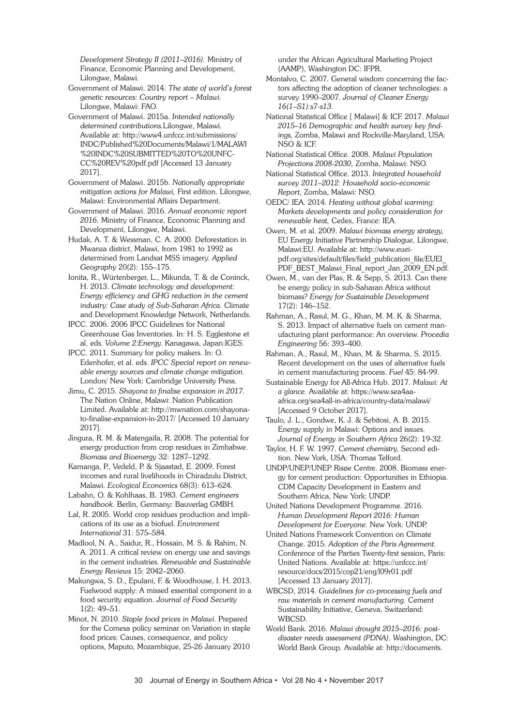*Development Strategy II (2011*–*2016).* Ministry of Finance, Economic Planning and Development, Lilongwe, Malawi.

Government of Malawi. 2014. *The state of world's forest genetic resources: Country report – Malawi.* Lilongwe, Malawi: FAO.

Government of Malawi. 2015a. *Intended nationally determined contributions.*Lilongwe, Malawi*.* Available at: http://www4.unfccc.int/submissions/ INDC/Published%20Documents/Malawi/1/MALAWI %20INDC%20SUBMITTED%20TO%20UNFC-CC%20REV%20pdf.pdf [Accessed 13 January 2017].

Government of Malawi. 2015b. *Nationally appropriate mitigation actions for Malawi,* First edition. Lilongwe, Malawi: Environmental Affairs Department.

Government of Malawi. 2016. *Annual economic report 2016.* Ministry of Finance, Economic Planning and Development, Lilongwe, Malawi.

Hudak, A. T. & Wessman, C. A. 2000. Deforestation in Mwanza district, Malawi, from 1981 to 1992 as determined from Landsat MSS imagery. *Applied Geography* 20(2): 155–175.

Ionita, R., Würtenberger, L., Mikunda, T. & de Coninck, H. 2013. *Climate technology and development: Energy efficiency and GHG reduction in the cement industry: Case study of Sub-Saharan Africa.* Climate and Development Knowledge Network, Netherlands.

IPCC. 2006. 2006 IPCC Guidelines for National Greenhouse Gas Inventories. In: H. S. Egglestone et al. eds. *Volume 2:Energy.* Kanagawa, Japan:IGES.

IPCC. 2011. Summary for policy makers. In: O. Edenhofer, et al. eds. *IPCC Special report on renewable energy sources and climate change mitigation.* London/ New York: Cambridge University Press.

Jimu, C. 2015. *Shayona to finalise expansion in 2017.* The Nation Online, Malawi: Nation Publication Limited. Available at: http://mwnation.com/shayonato-finalise-expansion-in-2017/ [Accessed 10 January 2017].

Jingura, R. M. & Matengaifa, R. 2008. The potential for energy production from crop residues in Zimbabwe. *Biomass and Bioenergy* 32: 1287–1292.

Kamanga, P., Vedeld, P. & Sjaastad, E. 2009. Forest incomes and rural livelihoods in Chiradzulu District, Malawi. *Ecological Economics* 68(3): 613–624.

Labahn, O. & Kohlhaas, B. 1983. *Cement engineers handbook.* Berlin, Germany: Bauverlag GMBH.

Lal, R. 2005. World crop residues production and implications of its use as a biofuel. *Environment International* 31: 575–584.

Madlool, N. A., Saidur, R., Hossain, M. S. & Rahim, N. A. 2011. A critical review on energy use and savings in the cement industries. *Renewable and Sustainable Energy Reviews* 15: 2042–2060.

Makungwa, S. D., Epulani, F. & Woodhouse, I. H. 2013. Fuelwood supply: A missed essential component in a food security equation. *Journal of Food Security* 1(2): 49–51.

Minot, N. 2010. *Staple food prices in Malawi.* Prepared for the Comesa policy seminar on Variation in staple food prices: Causes, consequence, and policy options, Maputo, Mozambique, 25-26 January 2010 under the African Agricultural Marketing Project (AAMP), Washington DC: IFPR.

Montalvo, C. 2007. General wisdom concerning the factors affecting the adoption of cleaner technologies: a survey 1990–2007. *Journal of Cleaner Energy 16(1*–*S1):s7-s13.*

National Statistical Office [ Malawi] & ICF. 2017. *Malawi 2015–16 Demographic and health survey key findings,* Zomba, Malawi and Rockville-Maryland, USA: NSO & ICF.

National Statistical Office. 2008. *Malawi Population Projections 2008-2030,* Zomba, Malawi: NSO.

National Statistical Office. 2013. *Integrated household survey 2011*–*2012: Household socio-economic Report,* Zomba, Malawi: NSO.

OEDC/ IEA. 2014. *Heating without global warming: Markets developments and policy consideration for renewable heat,* Cedex, France: IEA.

Owen, M. et al. 2009. *Malawi biomass energy strategy,* EU Energy Initiative Partnership Dialogue, Lilongwe, Malawi:EU. Available at: http://www.eueipdf.org/sites/default/files/field\_publication\_file/EUEI\_ PDF\_BEST\_Malawi\_Final\_report\_Jan\_2009\_EN.pdf.

Owen, M., van der Plas, R. & Sepp, S. 2013. Can there be energy policy in sub-Saharan Africa without biomass? *Energy for Sustainable Development* 17(2): 146–152.

Rahman, A., Rasul, M. G., Khan, M. M. K. & Sharma, S. 2013. Impact of alternative fuels on cement manufacturing plant performance: An overview. *Procedia Engineering* 56: 393–400.

Rahman, A., Rasul, M., Khan, M. & Sharma, S. 2015. Recent development on the uses of alternative fuels in cement manufacturing process. *Fuel* 45: 84-99.

Sustainable Energy for All-Africa Hub. 2017. *Malawi: At a glance.* Available at: https://www.sea4aaafrica.org/sea4all-in-africa/country-data/malawi/ [Accessed 9 October 2017].

Taulo, J. L., Gondwe, K. J. & Sebitosi, A. B. 2015. Energy supply in Malawi: Options and issues. *Journal of Energy in Southern Africa* 26(2): 19-32.

Taylor, H. F. W. 1997. *Cement chemistry,* Second edition. New York, USA: Thomas Telford.

UNDP/UNEP/UNEP Risøe Centre. 2008. Biomass energy for cement production: Opportunities in Ethiopia. CDM Capacity Development in Eastern and Southern Africa, New York: UNDP.

United Nations Development Programme. 2016. *Human Development Report 2016: Human Development for Everyone.* New York: UNDP.

United Nations Framework Convention on Climate Change. 2015. *Adoption of the Paris Agreement.* Conference of the Parties Twenty-first session, Paris: United Nations. Available at: https://unfccc.int/ resource/docs/2015/cop21/eng/l09r01.pdf [Accessed 13 January 2017].

WBCSD, 2014. *Guidelines for co-processing fuels and raw materials in cement manufacturing.* Cement Sustainability Initiative, Geneva, Switzerland: WBCSD.

World Bank. 2016. *Malawi drought 2015–2016: postdisaster needs assessment (PDNA)*. Washington, DC: World Bank Group. Available at: http://documents.